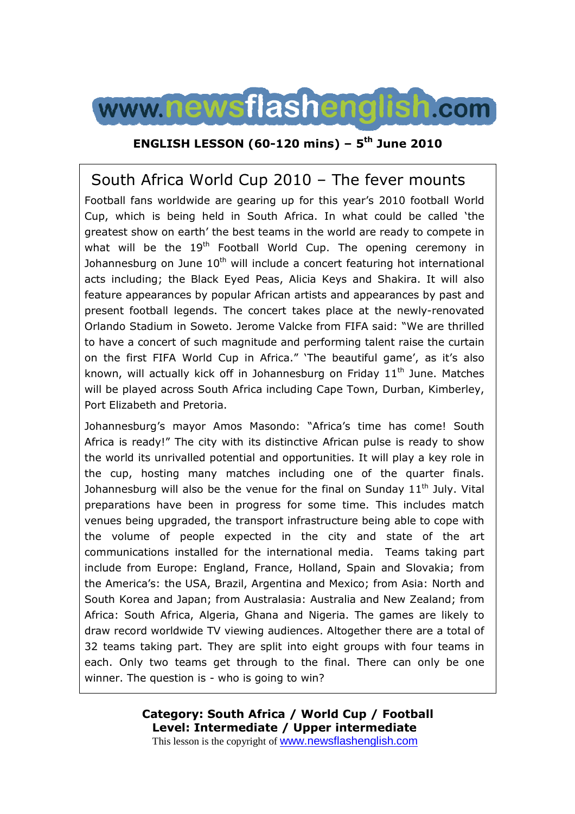

#### **ENGLISH LESSON (60-120 mins) – 5th June 2010**

# South Africa World Cup 2010 – The fever mounts

Football fans worldwide are gearing up for this year's 2010 football World Cup, which is being held in South Africa. In what could be called 'the greatest show on earth' the best teams in the world are ready to compete in what will be the  $19<sup>th</sup>$  Football World Cup. The opening ceremony in Johannesburg on June  $10<sup>th</sup>$  will include a concert featuring hot international acts including; the Black Eyed Peas, Alicia Keys and Shakira. It will also feature appearances by popular African artists and appearances by past and present football legends. The concert takes place at the newly-renovated Orlando Stadium in Soweto. Jerome Valcke from FIFA said: "We are thrilled to have a concert of such magnitude and performing talent raise the curtain on the first FIFA World Cup in Africa." 'The beautiful game', as it's also known, will actually kick off in Johannesburg on Friday  $11<sup>th</sup>$  June. Matches will be played across South Africa including Cape Town, Durban, Kimberley, Port Elizabeth and Pretoria.

Johannesburg's mayor Amos Masondo: "Africa's time has come! South Africa is ready!" The city with its distinctive African pulse is ready to show the world its unrivalled potential and opportunities. It will play a key role in the cup, hosting many matches including one of the quarter finals. Johannesburg will also be the venue for the final on Sunday  $11<sup>th</sup>$  July. Vital preparations have been in progress for some time. This includes match venues being upgraded, the transport infrastructure being able to cope with the volume of people expected in the city and state of the art communications installed for the international media. Teams taking part include from Europe: England, France, Holland, Spain and Slovakia; from the America's: the USA, Brazil, Argentina and Mexico; from Asia: North and South Korea and Japan; from Australasia: Australia and New Zealand; from Africa: South Africa, Algeria, Ghana and Nigeria. The games are likely to draw record worldwide TV viewing audiences. Altogether there are a total of 32 teams taking part. They are split into eight groups with four teams in each. Only two teams get through to the final. There can only be one winner. The question is - who is going to win?

> **Category: South Africa / World Cup / Football Level: Intermediate / Upper intermediate** This lesson is the copyright of www.newsflashenglish.com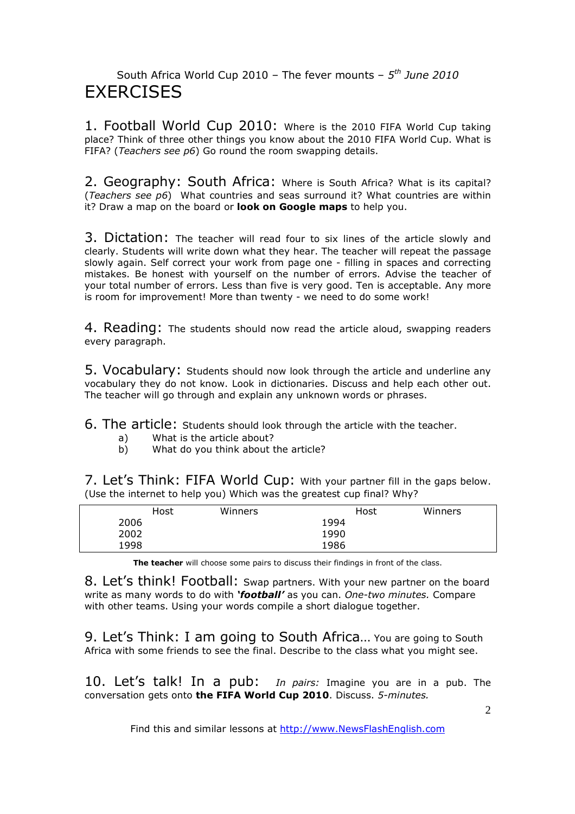### South Africa World Cup 2010 – The fever mounts – *5 th June 2010* **FXFRCISES**

1. Football World Cup 2010: Where is the 2010 FIFA World Cup taking place? Think of three other things you know about the 2010 FIFA World Cup. What is FIFA? (*Teachers see p6*) Go round the room swapping details.

2. Geography: South Africa: Where is South Africa? What is its capital? (*Teachers see p6*) What countries and seas surround it? What countries are within it? Draw a map on the board or **look on Google maps** to help you.

3. Dictation: The teacher will read four to six lines of the article slowly and clearly. Students will write down what they hear. The teacher will repeat the passage slowly again. Self correct your work from page one - filling in spaces and correcting mistakes. Be honest with yourself on the number of errors. Advise the teacher of your total number of errors. Less than five is very good. Ten is acceptable. Any more is room for improvement! More than twenty - we need to do some work!

4. Reading: The students should now read the article aloud, swapping readers every paragraph.

5. Vocabulary: Students should now look through the article and underline any vocabulary they do not know. Look in dictionaries. Discuss and help each other out. The teacher will go through and explain any unknown words or phrases.

6. The article: Students should look through the article with the teacher.

- a) What is the article about?
- b) What do you think about the article?

7. Let's Think: FIFA World Cup: With your partner fill in the gaps below. (Use the internet to help you) Which was the greatest cup final? Why?

|      | Host | Winners | Host | Winners |
|------|------|---------|------|---------|
| 2006 |      |         | 1994 |         |
| 2002 |      |         | 1990 |         |
| 1998 |      |         | 1986 |         |

**The teacher** will choose some pairs to discuss their findings in front of the class.

8. Let's think! Football: Swap partners. With your new partner on the board write as many words to do with *'football'* as you can. *One-two minutes.* Compare with other teams. Using your words compile a short dialogue together.

9. Let's Think: I am going to South Africa… You are going to South Africa with some friends to see the final. Describe to the class what you might see.

10. Let's talk! In a pub: *In pairs:* Imagine you are in a pub. The conversation gets onto **the FIFA World Cup 2010**. Discuss. *5-minutes.*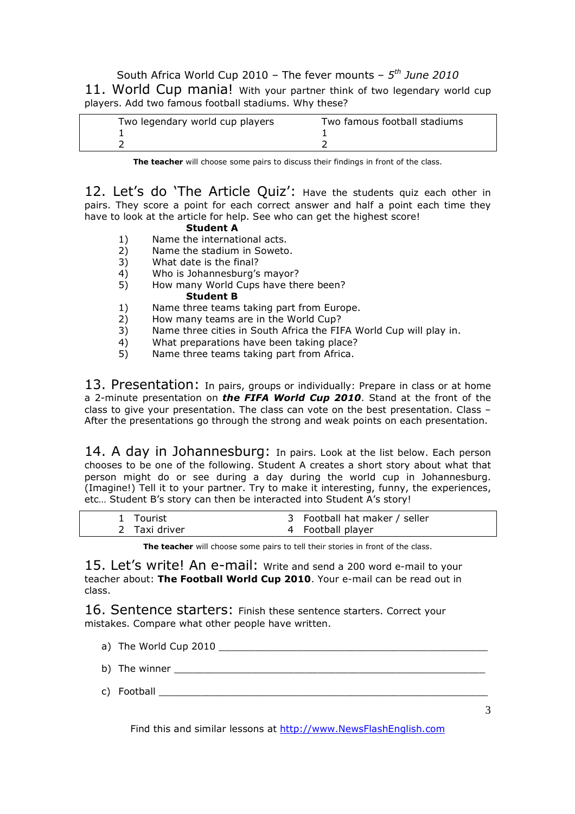South Africa World Cup 2010 – The fever mounts – *5 th June 2010* 11. World Cup mania! With your partner think of two legendary world cup players. Add two famous football stadiums. Why these?

| Two legendary world cup players | Two famous football stadiums |
|---------------------------------|------------------------------|
|                                 |                              |

**The teacher** will choose some pairs to discuss their findings in front of the class.

12. Let's do 'The Article Quiz': Have the students quiz each other in pairs. They score a point for each correct answer and half a point each time they have to look at the article for help. See who can get the highest score!

#### **Student A**

- 1) Name the international acts.
- 2) Name the stadium in Soweto.
- 3) What date is the final?
- 4) Who is Johannesburg's mayor?<br>5) How many World Cups have the
- 5) How many World Cups have there been? **Student B**
- 1) Name three teams taking part from Europe.<br>2) How many teams are in the World Cup?
- 2) How many teams are in the World Cup?
- 3) Name three cities in South Africa the FIFA World Cup will play in.
- 4) What preparations have been taking place?
- 5) Name three teams taking part from Africa.

13. Presentation: In pairs, groups or individually: Prepare in class or at home a 2-minute presentation on *the FIFA World Cup 2010*. Stand at the front of the class to give your presentation. The class can vote on the best presentation. Class – After the presentations go through the strong and weak points on each presentation.

14. A day in Johannesburg: In pairs. Look at the list below. Each person chooses to be one of the following. Student A creates a short story about what that person might do or see during a day during the world cup in Johannesburg. (Imagine!) Tell it to your partner. Try to make it interesting, funny, the experiences, etc… Student B's story can then be interacted into Student A's story!

| 1 Tourist     | 3 Football hat maker / seller |
|---------------|-------------------------------|
| 2 Taxi driver | 4 Football player             |

**The teacher** will choose some pairs to tell their stories in front of the class.

15. Let's write! An e-mail: Write and send a 200 word e-mail to your teacher about: **The Football World Cup 2010**. Your e-mail can be read out in class.

16. Sentence starters: Finish these sentence starters. Correct your mistakes. Compare what other people have written.

a) The World Cup 2010 b) The winner c) Football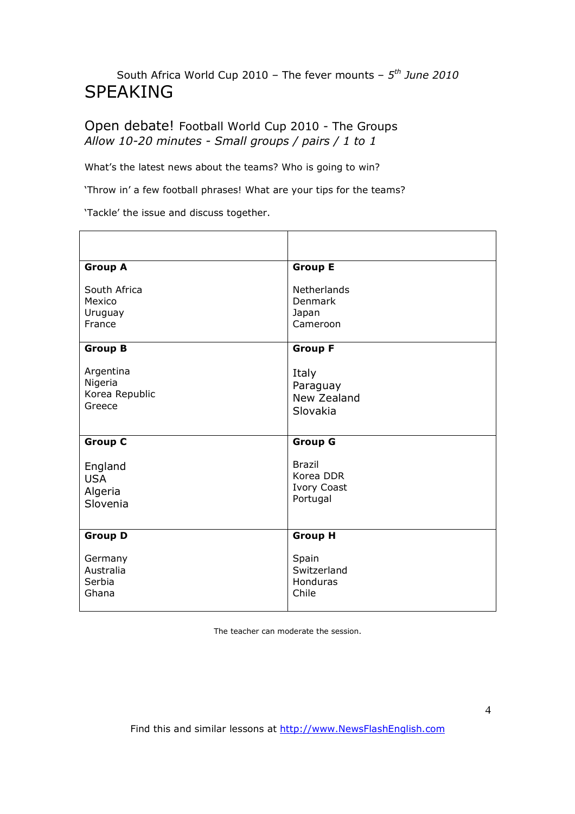## South Africa World Cup 2010 – The fever mounts – *5 th June 2010* SPEAKING

#### Open debate! Football World Cup 2010 - The Groups *Allow 10-20 minutes - Small groups / pairs / 1 to 1*

What's the latest news about the teams? Who is going to win?

'Throw in' a few football phrases! What are your tips for the teams?

'Tackle' the issue and discuss together.

| <b>Group A</b>                                   | <b>Group E</b>                                               |
|--------------------------------------------------|--------------------------------------------------------------|
| South Africa<br>Mexico<br>Uruguay<br>France      | Netherlands<br>Denmark<br>Japan<br>Cameroon                  |
| <b>Group B</b>                                   | <b>Group F</b>                                               |
| Argentina<br>Nigeria<br>Korea Republic<br>Greece | Italy<br>Paraguay<br>New Zealand<br>Slovakia                 |
| <b>Group C</b>                                   | <b>Group G</b>                                               |
| England<br><b>USA</b><br>Algeria<br>Slovenia     | <b>Brazil</b><br>Korea DDR<br><b>Ivory Coast</b><br>Portugal |
| <b>Group D</b>                                   | <b>Group H</b>                                               |
| Germany<br>Australia<br>Serbia<br>Ghana          | Spain<br>Switzerland<br>Honduras<br>Chile                    |

The teacher can moderate the session.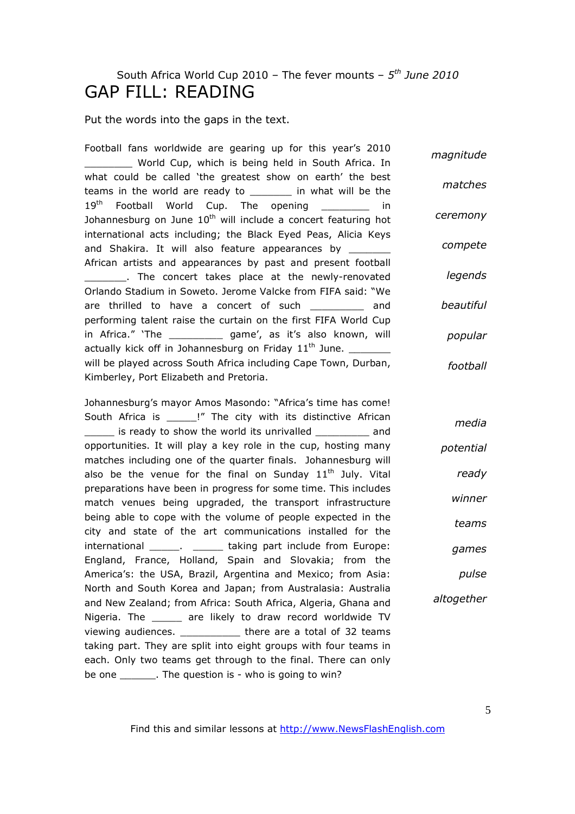## South Africa World Cup 2010 – The fever mounts – *5 th June 2010* GAP FILL: READING

Put the words into the gaps in the text.

Football fans worldwide are gearing up for this year's 2010 World Cup, which is being held in South Africa. In what could be called 'the greatest show on earth' the best teams in the world are ready to \_\_\_\_\_\_\_ in what will be the 19<sup>th</sup> Football World Cup. The opening \_\_\_\_\_\_\_\_ in Johannesburg on June  $10<sup>th</sup>$  will include a concert featuring hot international acts including; the Black Eyed Peas, Alicia Keys and Shakira. It will also feature appearances by \_\_\_\_\_\_ African artists and appearances by past and present football \_\_\_\_\_\_\_. The concert takes place at the newly-renovated Orlando Stadium in Soweto. Jerome Valcke from FIFA said: "We are thrilled to have a concert of such and performing talent raise the curtain on the first FIFA World Cup in Africa." 'The \_\_\_\_\_\_\_\_\_ game', as it's also known, will actually kick off in Johannesburg on Friday  $11<sup>th</sup>$  June. will be played across South Africa including Cape Town, Durban, Kimberley, Port Elizabeth and Pretoria. *magnitude matches ceremony compete legends beautiful popular football*

Johannesburg's mayor Amos Masondo: "Africa's time has come! South Africa is \_\_\_\_\_!" The city with its distinctive African \_\_\_\_\_ is ready to show the world its unrivalled \_\_\_\_\_\_\_\_\_ and opportunities. It will play a key role in the cup, hosting many matches including one of the quarter finals. Johannesburg will also be the venue for the final on Sunday  $11<sup>th</sup>$  July. Vital preparations have been in progress for some time. This includes match venues being upgraded, the transport infrastructure being able to cope with the volume of people expected in the city and state of the art communications installed for the international \_\_\_\_\_. \_\_\_\_\_ taking part include from Europe: England, France, Holland, Spain and Slovakia; from the America's: the USA, Brazil, Argentina and Mexico; from Asia: North and South Korea and Japan; from Australasia: Australia and New Zealand; from Africa: South Africa, Algeria, Ghana and Nigeria. The are likely to draw record worldwide TV viewing audiences. There are a total of 32 teams taking part. They are split into eight groups with four teams in each. Only two teams get through to the final. There can only be one \_\_\_\_\_\_\_. The question is - who is going to win? *media potential ready winner teams games pulse altogether*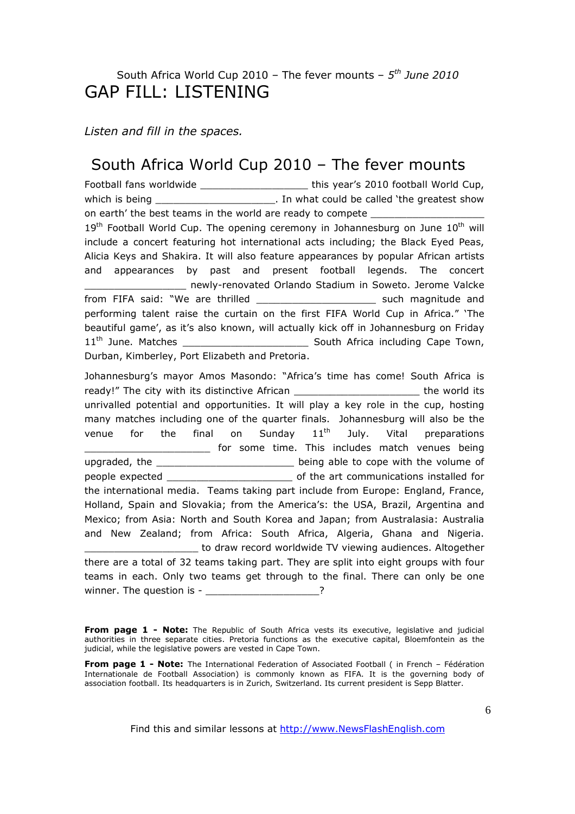### South Africa World Cup 2010 – The fever mounts – *5 th June 2010* GAP FILL: LISTENING

*Listen and fill in the spaces.* 

## South Africa World Cup 2010 – The fever mounts

Football fans worldwide \_\_\_\_\_\_\_\_\_\_\_\_\_\_\_\_\_\_\_\_\_\_\_\_\_\_\_\_ this year's 2010 football World Cup, which is being the same of the settlem of the settlem is being the show of the greatest show on earth' the best teams in the world are ready to compete  $19<sup>th</sup>$  Football World Cup. The opening ceremony in Johannesburg on June  $10<sup>th</sup>$  will include a concert featuring hot international acts including; the Black Eyed Peas, Alicia Keys and Shakira. It will also feature appearances by popular African artists and appearances by past and present football legends. The concert \_\_\_\_\_\_\_\_\_\_\_\_\_\_\_\_\_ newly-renovated Orlando Stadium in Soweto. Jerome Valcke from FIFA said: "We are thrilled \_\_\_\_\_\_\_\_\_\_\_\_\_\_\_\_\_\_\_\_ such magnitude and performing talent raise the curtain on the first FIFA World Cup in Africa." 'The beautiful game', as it's also known, will actually kick off in Johannesburg on Friday 11th June. Matches \_\_\_\_\_\_\_\_\_\_\_\_\_\_\_\_\_\_\_\_\_ South Africa including Cape Town, Durban, Kimberley, Port Elizabeth and Pretoria.

Johannesburg's mayor Amos Masondo: "Africa's time has come! South Africa is ready!" The city with its distinctive African \_\_\_\_\_\_\_\_\_\_\_\_\_\_\_\_\_\_\_\_\_\_\_\_\_\_\_the world its unrivalled potential and opportunities. It will play a key role in the cup, hosting many matches including one of the quarter finals. Johannesburg will also be the venue for the final on Sunday  $11<sup>th</sup>$  July. Vital preparations \_\_\_\_\_\_\_\_\_\_\_\_\_\_\_\_\_\_\_\_\_ for some time. This includes match venues being upgraded, the the same of the setting being able to cope with the volume of people expected \_\_\_\_\_\_\_\_\_\_\_\_\_\_\_\_\_\_\_\_\_ of the art communications installed for the international media. Teams taking part include from Europe: England, France, Holland, Spain and Slovakia; from the America's: the USA, Brazil, Argentina and Mexico; from Asia: North and South Korea and Japan; from Australasia: Australia and New Zealand; from Africa: South Africa, Algeria, Ghana and Nigeria. to draw record worldwide TV viewing audiences. Altogether there are a total of 32 teams taking part. They are split into eight groups with four teams in each. Only two teams get through to the final. There can only be one winner. The question is - winner as the set of the set of the set of the set of the set of the set of the set o

From page 1 - Note: The Republic of South Africa vests its executive, legislative and judicial authorities in three separate cities. Pretoria functions as the executive capital, Bloemfontein as the judicial, while the legislative powers are vested in Cape Town.

**From page 1 - Note:** The International Federation of Associated Football ( in French – Fédération Internationale de Football Association) is commonly known as FIFA. It is the governing body of association football. Its headquarters is in Zurich, Switzerland. Its current president is Sepp Blatter.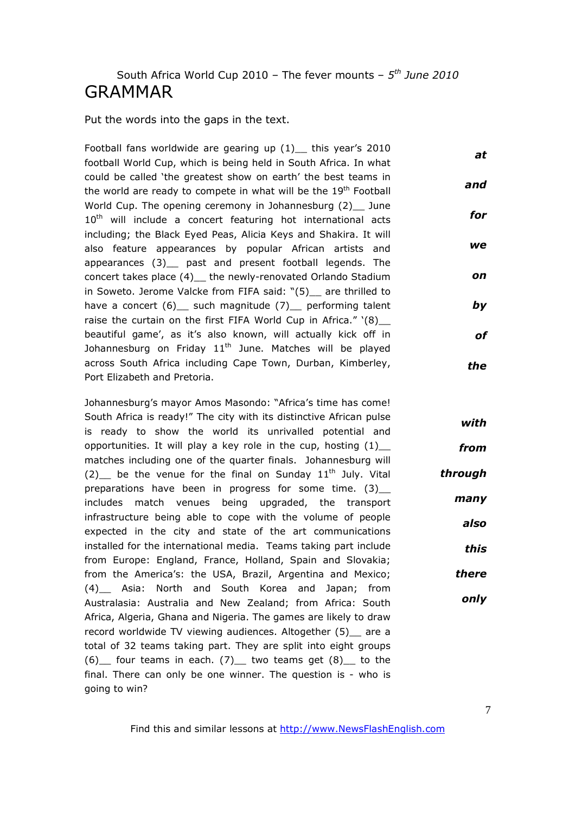### South Africa World Cup 2010 – The fever mounts – *5 th June 2010* GRAMMAR

Put the words into the gaps in the text.

Football fans worldwide are gearing up  $(1)$  this year's 2010 football World Cup, which is being held in South Africa. In what could be called 'the greatest show on earth' the best teams in the world are ready to compete in what will be the 19<sup>th</sup> Football World Cup. The opening ceremony in Johannesburg (2) June 10<sup>th</sup> will include a concert featuring hot international acts including; the Black Eyed Peas, Alicia Keys and Shakira. It will also feature appearances by popular African artists and appearances (3)\_\_ past and present football legends. The concert takes place (4)\_\_ the newly-renovated Orlando Stadium in Soweto. Jerome Valcke from FIFA said: "(5) are thrilled to have a concert (6) such magnitude (7) performing talent raise the curtain on the first FIFA World Cup in Africa."  $(8)$ beautiful game', as it's also known, will actually kick off in Johannesburg on Friday  $11<sup>th</sup>$  June. Matches will be played across South Africa including Cape Town, Durban, Kimberley, Port Elizabeth and Pretoria. *at and for we on by of the*

Johannesburg's mayor Amos Masondo: "Africa's time has come! South Africa is ready!" The city with its distinctive African pulse is ready to show the world its unrivalled potential and opportunities. It will play a key role in the cup, hosting  $(1)$ \_ matches including one of the quarter finals. Johannesburg will (2) be the venue for the final on Sunday  $11<sup>th</sup>$  July. Vital preparations have been in progress for some time. (3) includes match venues being upgraded, the transport infrastructure being able to cope with the volume of people expected in the city and state of the art communications installed for the international media. Teams taking part include from Europe: England, France, Holland, Spain and Slovakia; from the America's: the USA, Brazil, Argentina and Mexico; (4) Asia: North and South Korea and Japan; from Australasia: Australia and New Zealand; from Africa: South Africa, Algeria, Ghana and Nigeria. The games are likely to draw record worldwide TV viewing audiences. Altogether (5) are a total of 32 teams taking part. They are split into eight groups  $(6)$  four teams in each.  $(7)$  two teams get  $(8)$  to the final. There can only be one winner. The question is - who is going to win?

Find this and similar lessons at http://www.NewsFlashEnglish.com

*with*

*from*

*through*

*many*

*also*

*this*

*there*

*only*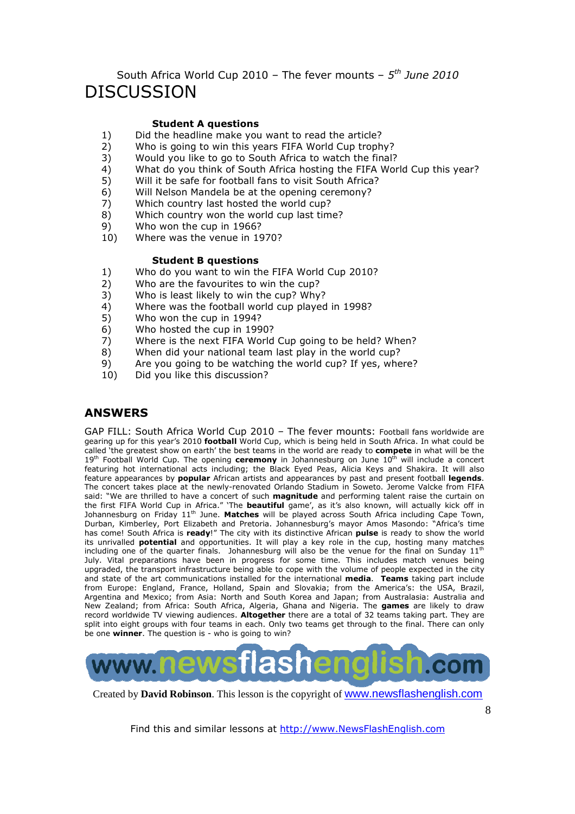### South Africa World Cup 2010 – The fever mounts – *5 th June 2010* DISCUSSION

#### **Student A questions**

- 1) Did the headline make you want to read the article?
- 2) Who is going to win this years FIFA World Cup trophy?
- 3) Would you like to go to South Africa to watch the final?
- 4) What do you think of South Africa hosting the FIFA World Cup this year?<br>5) Will it be safe for football fans to visit South Africa?
- Will it be safe for football fans to visit South Africa?
- 6) Will Nelson Mandela be at the opening ceremony?
- 7) Which country last hosted the world cup?
- 8) Which country won the world cup last time?
- 9) Who won the cup in 1966?
- 10) Where was the venue in 1970?

#### **Student B questions**

- 1) Who do you want to win the FIFA World Cup 2010?
- 2) Who are the favourites to win the cup?
- 3) Who is least likely to win the cup? Why?
- 4) Where was the football world cup played in 1998?
- 5) Who won the cup in 1994?
- 6) Who hosted the cup in 1990?
- 7) Where is the next FIFA World Cup going to be held? When?
- 8) When did your national team last play in the world cup?
- 9) Are you going to be watching the world cup? If yes, where?
- 10) Did you like this discussion?

#### **ANSWERS**

GAP FILL: South Africa World Cup 2010 – The fever mounts: Football fans worldwide are gearing up for this year's 2010 **football** World Cup, which is being held in South Africa. In what could be called 'the greatest show on earth' the best teams in the world are ready to **compete** in what will be the 19<sup>th</sup> Football World Cup. The opening **ceremony** in Johannesburg on June 10<sup>th</sup> will include a concert featuring hot international acts including; the Black Eyed Peas, Alicia Keys and Shakira. It will also feature appearances by **popular** African artists and appearances by past and present football **legends**. The concert takes place at the newly-renovated Orlando Stadium in Soweto. Jerome Valcke from FIFA said: "We are thrilled to have a concert of such **magnitude** and performing talent raise the curtain on the first FIFA World Cup in Africa." 'The **beautiful** game', as it's also known, will actually kick off in Johannesburg on Friday 11<sup>th</sup> June. **Matches** will be played across South Africa including Cape Town, Durban, Kimberley, Port Elizabeth and Pretoria. Johannesburg's mayor Amos Masondo: "Africa's time has come! South Africa is **ready**!" The city with its distinctive African **pulse** is ready to show the world its unrivalled **potential** and opportunities. It will play a key role in the cup, hosting many matches including one of the quarter finals. Johannesburg will also be the venue for the final on Sunday 11<sup>th</sup> July. Vital preparations have been in progress for some time. This includes match venues being upgraded, the transport infrastructure being able to cope with the volume of people expected in the city and state of the art communications installed for the international **media**. **Teams** taking part include from Europe: England, France, Holland, Spain and Slovakia; from the America's: the USA, Brazil, Argentina and Mexico; from Asia: North and South Korea and Japan; from Australasia: Australia and New Zealand; from Africa: South Africa, Algeria, Ghana and Nigeria. The **games** are likely to draw record worldwide TV viewing audiences. **Altogether** there are a total of 32 teams taking part. They are split into eight groups with four teams in each. Only two teams get through to the final. There can only be one **winner**. The question is - who is going to win?



Created by **David Robinson**. This lesson is the copyright of www.newsflashenglish.com